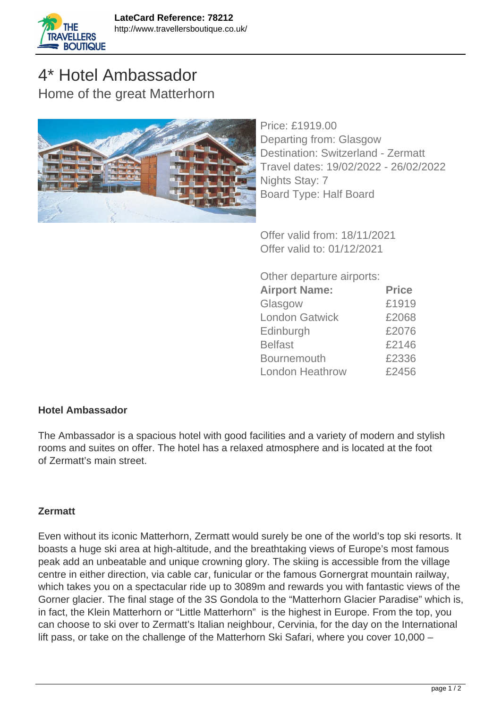

## 4\* Hotel Ambassador Home of the great Matterhorn



Price: £1919.00 Departing from: Glasgow Destination: Switzerland - Zermatt Travel dates: 19/02/2022 - 26/02/2022 Nights Stay: 7 Board Type: Half Board

Offer valid from: 18/11/2021 Offer valid to: 01/12/2021

Other departure airports:

| <b>Airport Name:</b>   | <b>Price</b> |
|------------------------|--------------|
| Glasgow                | £1919        |
| <b>London Gatwick</b>  | £2068        |
| Edinburgh              | £2076        |
| <b>Belfast</b>         | £2146        |
| <b>Bournemouth</b>     | £2336        |
| <b>London Heathrow</b> | £2456        |

## **Hotel Ambassador**

The Ambassador is a spacious hotel with good facilities and a variety of modern and stylish rooms and suites on offer. The hotel has a relaxed atmosphere and is located at the foot of Zermatt's main street.

## **Zermatt**

Even without its iconic Matterhorn, Zermatt would surely be one of the world's top ski resorts. It boasts a huge ski area at high-altitude, and the breathtaking views of Europe's most famous peak add an unbeatable and unique crowning glory. The skiing is accessible from the village centre in either direction, via cable car, funicular or the famous Gornergrat mountain railway, which takes you on a spectacular ride up to 3089m and rewards you with fantastic views of the Gorner glacier. The final stage of the 3S Gondola to the "Matterhorn Glacier Paradise" which is, in fact, the Klein Matterhorn or "Little Matterhorn" is the highest in Europe. From the top, you can choose to ski over to Zermatt's Italian neighbour, Cervinia, for the day on the International lift pass, or take on the challenge of the Matterhorn Ski Safari, where you cover 10,000 –